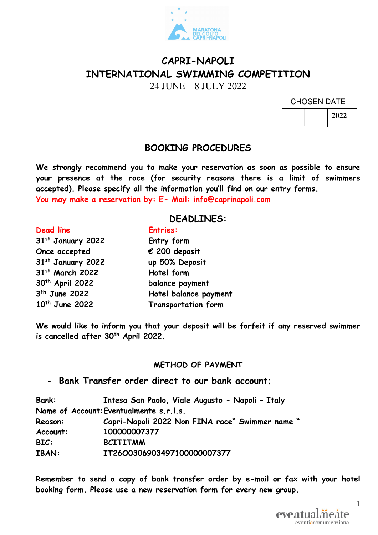

# **CAPRI-NAPOLI INTERNATIONAL SWIMMING COMPETITION**

24 JUNE – 8 JULY 2022

CHOSEN DATE

|  | 2022 |
|--|------|
|--|------|

### **BOOKING PROCEDURES**

**We strongly recommend you to make your reservation as soon as possible to ensure your presence at the race (for security reasons there is a limit of swimmers accepted). Please specify all the information you'll find on our entry forms. You may make a reservation by: E- Mail: info@caprinapoli.com** 

#### **DEADLINES:**

**st January 2022 Entry form Once accepted € 200 deposit st January 2022 up 50% Deposit st March 2022 Hotel form th April 2022 balance payment**  3<sup>th</sup> June 2022

# **Dead line Entries: Hotel balance payment 10th June 2022 Transportation form**

**We would like to inform you that your deposit will be forfeit if any reserved swimmer is cancelled after 30th April 2022.** 

#### **METHOD OF PAYMENT**

- **Bank Transfer order direct to our bank account;** 

| <b>Bank:</b> | Intesa San Paolo, Viale Augusto - Napoli - Italy |
|--------------|--------------------------------------------------|
|              | Name of Account: Eventualmente s.r.l.s.          |
| Reason:      | Capri-Napoli 2022 Non FINA race" Swimmer name "  |
| Account:     | 100000007377                                     |
| BIC:         | <b>BCITITMM</b>                                  |
| <b>IBAN:</b> | IT26O0306903497100000007377                      |

**Remember to send a copy of bank transfer order by e-mail or fax with your hotel booking form. Please use a new reservation form for every new group.** 



1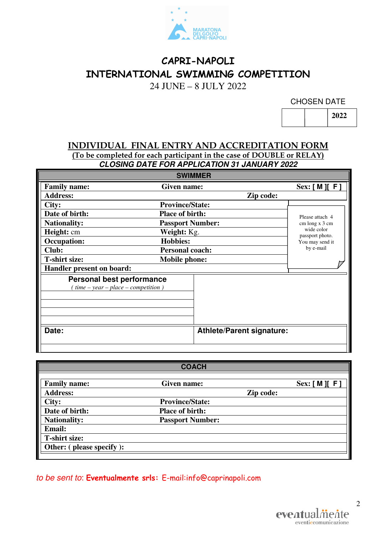

# **CAPRI-NAPOLI INTERNATIONAL SWIMMING COMPETITION**

24 JUNE – 8 JULY 2022

CHOSEN DATE

**2022** 

#### **INDIVIDUAL FINAL ENTRY AND ACCREDITATION FORM (To be completed for each participant in the case of DOUBLE or RELAY) CLOSING DATE FOR APPLICATION 31 JANUARY 2022**

| <b>SWIMMER</b>                                                           |                         |                                  |                               |  |
|--------------------------------------------------------------------------|-------------------------|----------------------------------|-------------------------------|--|
| <b>Family name:</b>                                                      | Given name:             |                                  | Sex: [M] [F]                  |  |
| <b>Address:</b>                                                          |                         | Zip code:                        |                               |  |
| City:                                                                    | <b>Province/State:</b>  |                                  |                               |  |
| Date of birth:                                                           | <b>Place of birth:</b>  |                                  | Please attach 4               |  |
| <b>Nationality:</b>                                                      | <b>Passport Number:</b> |                                  | cm long x 3 cm                |  |
| Height: cm                                                               | Weight: Kg.             |                                  | wide color<br>passport photo. |  |
| <b>Occupation:</b>                                                       | <b>Hobbies:</b>         |                                  | You may send it               |  |
| Club:                                                                    | <b>Personal coach:</b>  |                                  | by e-mail                     |  |
| <b>T-shirt size:</b>                                                     | <b>Mobile phone:</b>    |                                  |                               |  |
| Handler present on board:                                                |                         |                                  |                               |  |
| <b>Personal best performance</b><br>$time - year - place - competition)$ |                         |                                  |                               |  |
| Date:                                                                    |                         | <b>Athlete/Parent signature:</b> |                               |  |

|                          | <b>COACH</b>            |           |             |
|--------------------------|-------------------------|-----------|-------------|
| <b>Family name:</b>      | Given name:             |           | Sex: [M][F] |
| <b>Address:</b>          |                         | Zip code: |             |
| City:                    | <b>Province/State:</b>  |           |             |
| Date of birth:           | <b>Place of birth:</b>  |           |             |
| <b>Nationality:</b>      | <b>Passport Number:</b> |           |             |
| <b>Email:</b>            |                         |           |             |
| <b>T-shirt size:</b>     |                         |           |             |
| Other: (please specify): |                         |           |             |
|                          |                         |           |             |

## to be sent to: **Eventualmente srls:** E-mail:info@caprinapoli.com